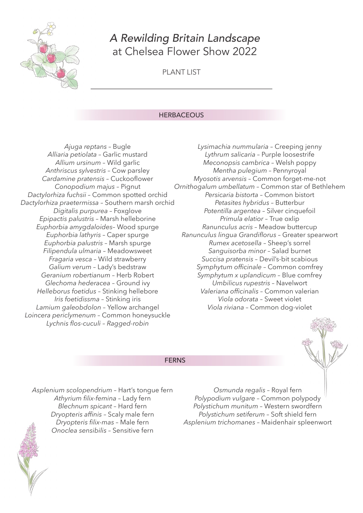

# *A Rewilding Britain Landscape* at Chelsea Flower Show 2022

PLANT LIST

## **HERBACEOUS**

FERNS

*Ajuga reptans –* Bugle *Alliaria petiolata –* Garlic mustard *Allium ursinum –* Wild garlic *Anthriscus sylvestris –* Cow parsley *Cardamine pratensis –* Cuckooflower *Conopodium majus –* Pignut *Dactylorhiza fuchsii –* Common spotted orchid *Dactylorhiza praetermissa –* Southern marsh orchid *Digitalis purpurea –* Foxglove *Epipactis palustris –* Marsh helleborine *Euphorbia amygdaloides–* Wood spurge *Euphorbia lathyris –* Caper spurge *Euphorbia palustris –* Marsh spurge *Filipendula ulmaria –* Meadowsweet *Fragaria vesca –* Wild strawberry *Galium verum –* Lady's bedstraw *Geranium robertianum –* Herb Robert *Glechoma hederacea –* Ground ivy *Helleborus foetidus –* Stinking hellebore *Iris foetidissma –* Stinking iris *Lamium galeobdolon –* Yellow archangel *Loincera periclymenum –* Common honeysuckle *Lychnis flos-cuculi – Ragged-robin* 

*Lysimachia nummularia –* Creeping jenny *Lythrum salicaria –* Purple loosestrife *Meconopsis cambrica –* Welsh poppy *Mentha pulegium –* Pennyroyal *Myosotis arvensis –* Common forget-me-not *Ornithogalum umbellatum –* Common star of Bethlehem *Persicaria bistorta –* Common bistort *Petasites hybridus –* Butterbur *Potentilla argentea –* Silver cinquefoil *Primula elatior –* True oxlip *Ranunculus acris –* Meadow buttercup *Ranunculus lingua Grandiflorus –* Greater spearwort *Rumex acetosella –* Sheep's sorrel *Sanguisorba minor –* Salad burnet *Succisa pratensis –* Devil's-bit scabious *Symphytum officinale –* Common comfrey *Symphytum x uplandicum –* Blue comfrey *Umbilicus rupestris –* Navelwort *Valeriana officinalis –* Common valerian *Viola odorata –* Sweet violet *Viola riviana –* Common dog-violet



*Asplenium scolopendrium –* Hart's tongue fern *Athyrium filix-femina –* Lady fern *Blechnum spicant –* Hard fern *Dryopteris affinis –* Scaly male fern *Dryopteris filix-mas –* Male fern *Onoclea sensibilis –* Sensitive fern

*Osmunda regalis –* Royal fern *Polypodium vulgare –* Common polypody *Polystichum munitum –* Western swordfern *Polystichum setiferum –* Soft shield fern *Asplenium trichomanes –* Maidenhair spleenwort